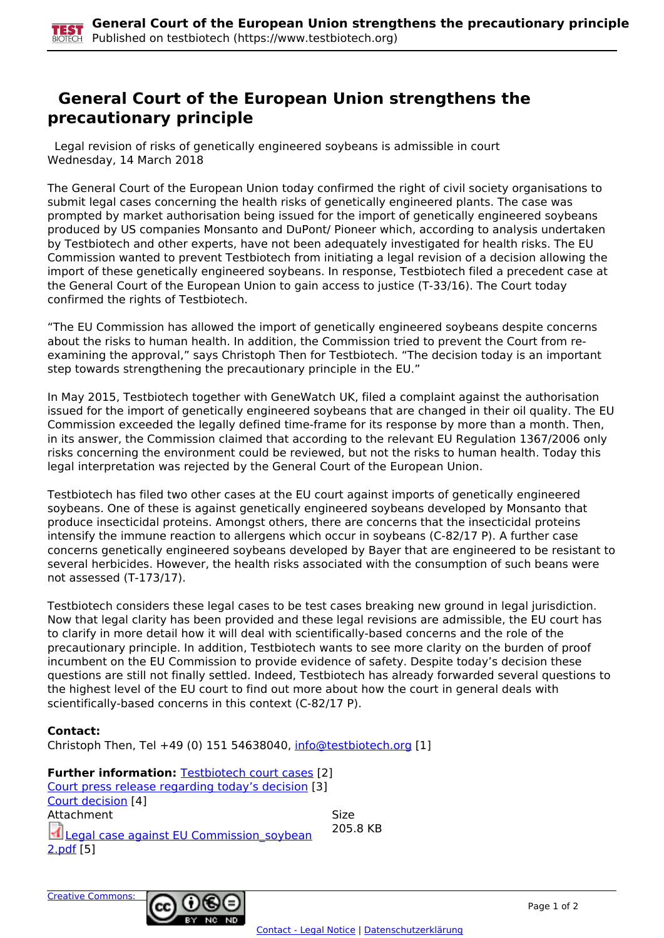## **General Court of the European Union strengthens the precautionary principle**

 Legal revision of risks of genetically engineered soybeans is admissible in court Wednesday, 14 March 2018

The General Court of the European Union today confirmed the right of civil society organisations to submit legal cases concerning the health risks of genetically engineered plants. The case was prompted by market authorisation being issued for the import of genetically engineered soybeans produced by US companies Monsanto and DuPont/ Pioneer which, according to analysis undertaken by Testbiotech and other experts, have not been adequately investigated for health risks. The EU Commission wanted to prevent Testbiotech from initiating a legal revision of a decision allowing the import of these genetically engineered soybeans. In response, Testbiotech filed a precedent case at the General Court of the European Union to gain access to justice (T-33/16). The Court today confirmed the rights of Testbiotech.

"The EU Commission has allowed the import of genetically engineered soybeans despite concerns about the risks to human health. In addition, the Commission tried to prevent the Court from reexamining the approval," says Christoph Then for Testbiotech. "The decision today is an important step towards strengthening the precautionary principle in the EU."

In May 2015, Testbiotech together with GeneWatch UK, filed a complaint against the authorisation issued for the import of genetically engineered soybeans that are changed in their oil quality. The EU Commission exceeded the legally defined time-frame for its response by more than a month. Then, in its answer, the Commission claimed that according to the relevant EU Regulation 1367/2006 only risks concerning the environment could be reviewed, but not the risks to human health. Today this legal interpretation was rejected by the General Court of the European Union.

Testbiotech has filed two other cases at the EU court against imports of genetically engineered soybeans. One of these is against genetically engineered soybeans developed by Monsanto that produce insecticidal proteins. Amongst others, there are concerns that the insecticidal proteins intensify the immune reaction to allergens which occur in soybeans (C-82/17 P). A further case concerns genetically engineered soybeans developed by Bayer that are engineered to be resistant to several herbicides. However, the health risks associated with the consumption of such beans were not assessed (T-173/17).

Testbiotech considers these legal cases to be test cases breaking new ground in legal jurisdiction. Now that legal clarity has been provided and these legal revisions are admissible, the EU court has to clarify in more detail how it will deal with scientifically-based concerns and the role of the precautionary principle. In addition, Testbiotech wants to see more clarity on the burden of proof incumbent on the EU Commission to provide evidence of safety. Despite today's decision these questions are still not finally settled. Indeed, Testbiotech has already forwarded several questions to the highest level of the EU court to find out more about how the court in general deals with scientifically-based concerns in this context (C-82/17 P).

## **Contact:**

Christoph Then, Tel +49 (0) 151 54638040, [info@testbiotech.org](mailto:info@testbiotech.org) [1]

**Further information: Testbiotech court cases [2]** Court press release regarding today's decision [3] Court decision [4] Attachment Size  $\blacksquare$  Legal case against EU Commission soybean 2.pdf [5] 205.8 KB